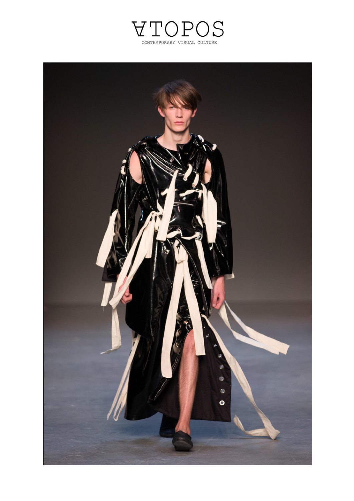